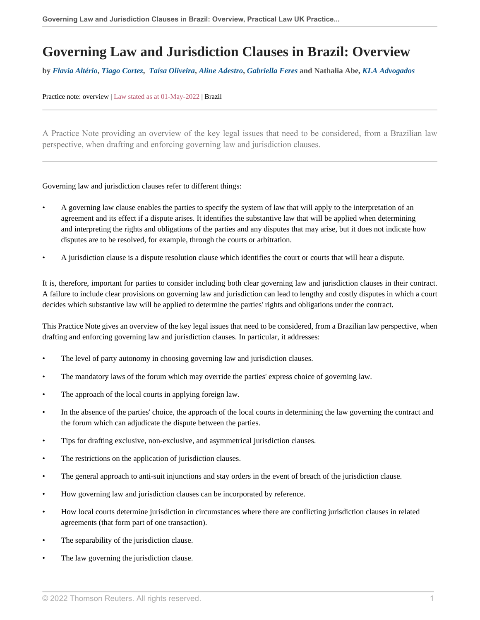# **Governing Law and Jurisdiction Clauses in Brazil: Overview**

**by** *[Flavia Altério](https://www.klalaw.com.br/en/flavia-trigo/ )***,** *[Tiago Cortez](https://www.klalaw.com.br/en/tiago-cortez/ )***,** *[Taísa Oliveira](https://www.klalaw.com.br/en/taisa-oliveira/ )***,** *[Aline Adestro](https://www.klalaw.com.br/en/aline-adestro/ )***,** *[Gabriella Feres](https://www.klalaw.com.br/en/gabriella-feres/ )* **and Nathalia Abe,** *[KLA Advogados](https://www.klalaw.com.br/en/home-en/ )*

#### Practice note: overview | Law stated as at 01-May-2022 | Brazil

A Practice Note providing an overview of the key legal issues that need to be considered, from a Brazilian law perspective, when drafting and enforcing governing law and jurisdiction clauses.

Governing law and jurisdiction clauses refer to different things:

- A governing law clause enables the parties to specify the system of law that will apply to the interpretation of an agreement and its effect if a dispute arises. It identifies the substantive law that will be applied when determining and interpreting the rights and obligations of the parties and any disputes that may arise, but it does not indicate how disputes are to be resolved, for example, through the courts or arbitration.
- A jurisdiction clause is a dispute resolution clause which identifies the court or courts that will hear a dispute.

It is, therefore, important for parties to consider including both clear governing law and jurisdiction clauses in their contract. A failure to include clear provisions on governing law and jurisdiction can lead to lengthy and costly disputes in which a court decides which substantive law will be applied to determine the parties' rights and obligations under the contract.

This Practice Note gives an overview of the key legal issues that need to be considered, from a Brazilian law perspective, when drafting and enforcing governing law and jurisdiction clauses. In particular, it addresses:

- The level of party autonomy in choosing governing law and jurisdiction clauses.
- The mandatory laws of the forum which may override the parties' express choice of governing law.
- The approach of the local courts in applying foreign law.
- In the absence of the parties' choice, the approach of the local courts in determining the law governing the contract and the forum which can adjudicate the dispute between the parties.
- Tips for drafting exclusive, non-exclusive, and asymmetrical jurisdiction clauses.
- The restrictions on the application of jurisdiction clauses.
- The general approach to anti-suit injunctions and stay orders in the event of breach of the jurisdiction clause.
- How governing law and jurisdiction clauses can be incorporated by reference.
- How local courts determine jurisdiction in circumstances where there are conflicting jurisdiction clauses in related agreements (that form part of one transaction).
- The separability of the jurisdiction clause.
- The law governing the jurisdiction clause.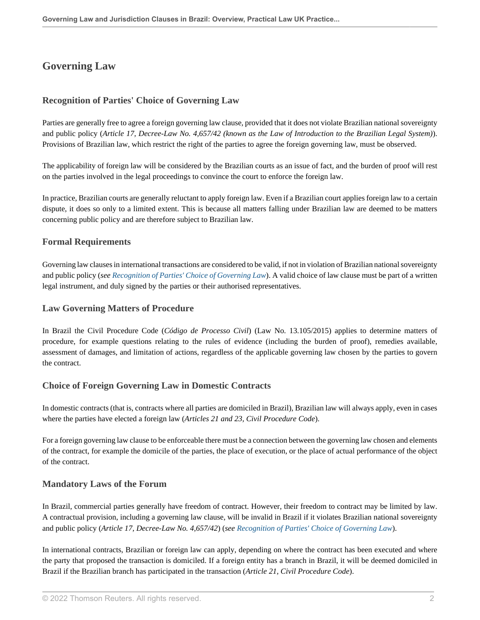# **Governing Law**

# <span id="page-1-0"></span>**Recognition of Parties' Choice of Governing Law**

Parties are generally free to agree a foreign governing law clause, provided that it does not violate Brazilian national sovereignty and public policy (*Article 17, Decree-Law No. 4,657/42 (known as the Law of Introduction to the Brazilian Legal System)*). Provisions of Brazilian law, which restrict the right of the parties to agree the foreign governing law, must be observed.

The applicability of foreign law will be considered by the Brazilian courts as an issue of fact, and the burden of proof will rest on the parties involved in the legal proceedings to convince the court to enforce the foreign law.

In practice, Brazilian courts are generally reluctant to apply foreign law. Even if a Brazilian court applies foreign law to a certain dispute, it does so only to a limited extent. This is because all matters falling under Brazilian law are deemed to be matters concerning public policy and are therefore subject to Brazilian law.

#### <span id="page-1-2"></span>**Formal Requirements**

Governing law clauses in international transactions are considered to be valid, if not in violation of Brazilian national sovereignty and public policy (*see [Recognition of Parties' Choice of Governing Law](#page-1-0)*). A valid choice of law clause must be part of a written legal instrument, and duly signed by the parties or their authorised representatives.

#### **Law Governing Matters of Procedure**

In Brazil the Civil Procedure Code (*Código de Processo Civil*) (Law No. 13.105/2015) applies to determine matters of procedure, for example questions relating to the rules of evidence (including the burden of proof), remedies available, assessment of damages, and limitation of actions, regardless of the applicable governing law chosen by the parties to govern the contract.

# <span id="page-1-1"></span>**Choice of Foreign Governing Law in Domestic Contracts**

In domestic contracts (that is, contracts where all parties are domiciled in Brazil), Brazilian law will always apply, even in cases where the parties have elected a foreign law (*Articles 21 and 23, Civil Procedure Code*).

For a foreign governing law clause to be enforceable there must be a connection between the governing law chosen and elements of the contract, for example the domicile of the parties, the place of execution, or the place of actual performance of the object of the contract.

#### **Mandatory Laws of the Forum**

In Brazil, commercial parties generally have freedom of contract. However, their freedom to contract may be limited by law. A contractual provision, including a governing law clause, will be invalid in Brazil if it violates Brazilian national sovereignty and public policy (*Article 17, Decree-Law No. 4,657/42*) (*see [Recognition of Parties' Choice of Governing Law](#page-1-0)*).

In international contracts, Brazilian or foreign law can apply, depending on where the contract has been executed and where the party that proposed the transaction is domiciled. If a foreign entity has a branch in Brazil, it will be deemed domiciled in Brazil if the Brazilian branch has participated in the transaction (*Article 21, Civil Procedure Code*).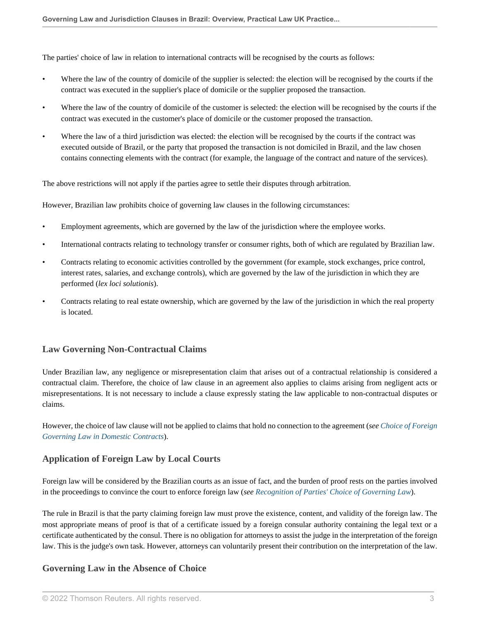The parties' choice of law in relation to international contracts will be recognised by the courts as follows:

- Where the law of the country of domicile of the supplier is selected: the election will be recognised by the courts if the contract was executed in the supplier's place of domicile or the supplier proposed the transaction.
- Where the law of the country of domicile of the customer is selected: the election will be recognised by the courts if the contract was executed in the customer's place of domicile or the customer proposed the transaction.
- Where the law of a third jurisdiction was elected: the election will be recognised by the courts if the contract was executed outside of Brazil, or the party that proposed the transaction is not domiciled in Brazil, and the law chosen contains connecting elements with the contract (for example, the language of the contract and nature of the services).

The above restrictions will not apply if the parties agree to settle their disputes through arbitration.

However, Brazilian law prohibits choice of governing law clauses in the following circumstances:

- Employment agreements, which are governed by the law of the jurisdiction where the employee works.
- International contracts relating to technology transfer or consumer rights, both of which are regulated by Brazilian law.
- Contracts relating to economic activities controlled by the government (for example, stock exchanges, price control, interest rates, salaries, and exchange controls), which are governed by the law of the jurisdiction in which they are performed (*lex loci solutionis*).
- Contracts relating to real estate ownership, which are governed by the law of the jurisdiction in which the real property is located.

# **Law Governing Non-Contractual Claims**

Under Brazilian law, any negligence or misrepresentation claim that arises out of a contractual relationship is considered a contractual claim. Therefore, the choice of law clause in an agreement also applies to claims arising from negligent acts or misrepresentations. It is not necessary to include a clause expressly stating the law applicable to non-contractual disputes or claims.

However, the choice of law clause will not be applied to claims that hold no connection to the agreement (*see [Choice of Foreign](#page-1-1) [Governing Law in Domestic Contracts](#page-1-1)*).

# **Application of Foreign Law by Local Courts**

Foreign law will be considered by the Brazilian courts as an issue of fact, and the burden of proof rests on the parties involved in the proceedings to convince the court to enforce foreign law (*see [Recognition of Parties' Choice of Governing Law](#page-1-0)*).

The rule in Brazil is that the party claiming foreign law must prove the existence, content, and validity of the foreign law. The most appropriate means of proof is that of a certificate issued by a foreign consular authority containing the legal text or a certificate authenticated by the consul. There is no obligation for attorneys to assist the judge in the interpretation of the foreign law. This is the judge's own task. However, attorneys can voluntarily present their contribution on the interpretation of the law.

# **Governing Law in the Absence of Choice**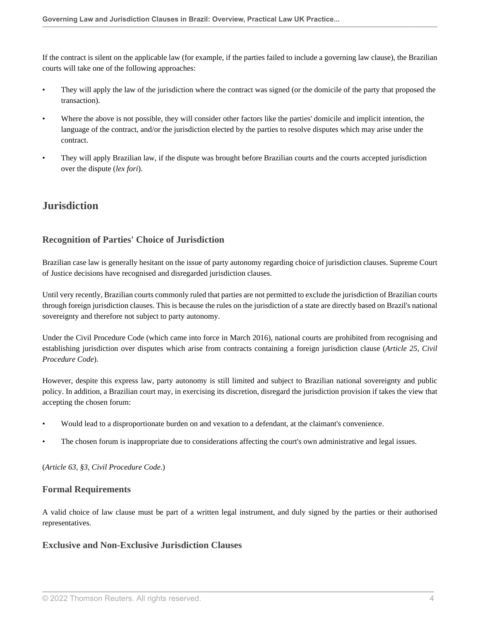If the contract is silent on the applicable law (for example, if the parties failed to include a governing law clause), the Brazilian courts will take one of the following approaches:

- They will apply the law of the jurisdiction where the contract was signed (or the domicile of the party that proposed the transaction).
- Where the above is not possible, they will consider other factors like the parties' domicile and implicit intention, the language of the contract, and/or the jurisdiction elected by the parties to resolve disputes which may arise under the contract.
- They will apply Brazilian law, if the dispute was brought before Brazilian courts and the courts accepted jurisdiction over the dispute (*lex fori*).

# **Jurisdiction**

# <span id="page-3-0"></span>**Recognition of Parties' Choice of Jurisdiction**

Brazilian case law is generally hesitant on the issue of party autonomy regarding choice of jurisdiction clauses. Supreme Court of Justice decisions have recognised and disregarded jurisdiction clauses.

Until very recently, Brazilian courts commonly ruled that parties are not permitted to exclude the jurisdiction of Brazilian courts through foreign jurisdiction clauses. This is because the rules on the jurisdiction of a state are directly based on Brazil's national sovereignty and therefore not subject to party autonomy.

Under the Civil Procedure Code (which came into force in March 2016), national courts are prohibited from recognising and establishing jurisdiction over disputes which arise from contracts containing a foreign jurisdiction clause (*Article 25, Civil Procedure Code*).

However, despite this express law, party autonomy is still limited and subject to Brazilian national sovereignty and public policy. In addition, a Brazilian court may, in exercising its discretion, disregard the jurisdiction provision if takes the view that accepting the chosen forum:

- Would lead to a disproportionate burden on and vexation to a defendant, at the claimant's convenience.
- The chosen forum is inappropriate due to considerations affecting the court's own administrative and legal issues.

(*Article 63, §3, Civil Procedure Code*.)

# **Formal Requirements**

A valid choice of law clause must be part of a written legal instrument, and duly signed by the parties or their authorised representatives.

#### **Exclusive and Non-Exclusive Jurisdiction Clauses**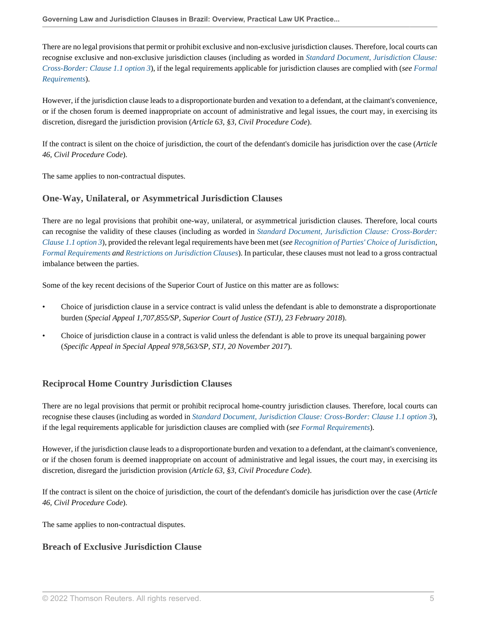There are no legal provisions that permit or prohibit exclusive and non-exclusive jurisdiction clauses. Therefore, local courts can recognise exclusive and non-exclusive jurisdiction clauses (including as worded in *[Standard Document, Jurisdiction Clause:](http://uk.practicallaw.thomsonreuters.com/w-005-3847?originationContext=document&vr=3.0&rs=PLUK1.0&transitionType=DocumentItem&contextData=(sc.Default)) [Cross-Border: Clause 1.1 option 3](http://uk.practicallaw.thomsonreuters.com/w-005-3847?originationContext=document&vr=3.0&rs=PLUK1.0&transitionType=DocumentItem&contextData=(sc.Default))*), if the legal requirements applicable for jurisdiction clauses are complied with (*see [Formal](#page-1-2) [Requirements](#page-1-2)*).

However, if the jurisdiction clause leads to a disproportionate burden and vexation to a defendant, at the claimant's convenience, or if the chosen forum is deemed inappropriate on account of administrative and legal issues, the court may, in exercising its discretion, disregard the jurisdiction provision (*Article 63, §3, Civil Procedure Code*).

If the contract is silent on the choice of jurisdiction, the court of the defendant's domicile has jurisdiction over the case (*Article 46, Civil Procedure Code*).

The same applies to non-contractual disputes.

# **One-Way, Unilateral, or Asymmetrical Jurisdiction Clauses**

There are no legal provisions that prohibit one-way, unilateral, or asymmetrical jurisdiction clauses. Therefore, local courts can recognise the validity of these clauses (including as worded in *[Standard Document, Jurisdiction Clause: Cross-Border:](http://uk.practicallaw.thomsonreuters.com/w-005-3847?originationContext=document&vr=3.0&rs=PLUK1.0&transitionType=DocumentItem&contextData=(sc.Default)) [Clause 1.1 option 3](http://uk.practicallaw.thomsonreuters.com/w-005-3847?originationContext=document&vr=3.0&rs=PLUK1.0&transitionType=DocumentItem&contextData=(sc.Default))*), provided the relevant legal requirements have been met (*see [Recognition of Parties' Choice of Jurisdiction,](#page-3-0) [Formal Requirements](#page-1-2) and [Restrictions on Jurisdiction Clauses](#page-5-0)*). In particular, these clauses must not lead to a gross contractual imbalance between the parties.

Some of the key recent decisions of the Superior Court of Justice on this matter are as follows:

- Choice of jurisdiction clause in a service contract is valid unless the defendant is able to demonstrate a disproportionate burden (*Special Appeal 1,707,855/SP, Superior Court of Justice (STJ), 23 February 2018*).
- Choice of jurisdiction clause in a contract is valid unless the defendant is able to prove its unequal bargaining power (*Specific Appeal in Special Appeal 978,563/SP, STJ, 20 November 2017*).

# **Reciprocal Home Country Jurisdiction Clauses**

There are no legal provisions that permit or prohibit reciprocal home-country jurisdiction clauses. Therefore, local courts can recognise these clauses (including as worded in *[Standard Document, Jurisdiction Clause: Cross-Border: Clause 1.1 option 3](http://uk.practicallaw.thomsonreuters.com/w-005-3847?originationContext=document&vr=3.0&rs=PLUK1.0&transitionType=DocumentItem&contextData=(sc.Default))*), if the legal requirements applicable for jurisdiction clauses are complied with (*see [Formal Requirements](#page-1-2)*).

However, if the jurisdiction clause leads to a disproportionate burden and vexation to a defendant, at the claimant's convenience, or if the chosen forum is deemed inappropriate on account of administrative and legal issues, the court may, in exercising its discretion, disregard the jurisdiction provision (*Article 63, §3, Civil Procedure Code*).

If the contract is silent on the choice of jurisdiction, the court of the defendant's domicile has jurisdiction over the case (*Article 46, Civil Procedure Code*).

The same applies to non-contractual disputes.

# **Breach of Exclusive Jurisdiction Clause**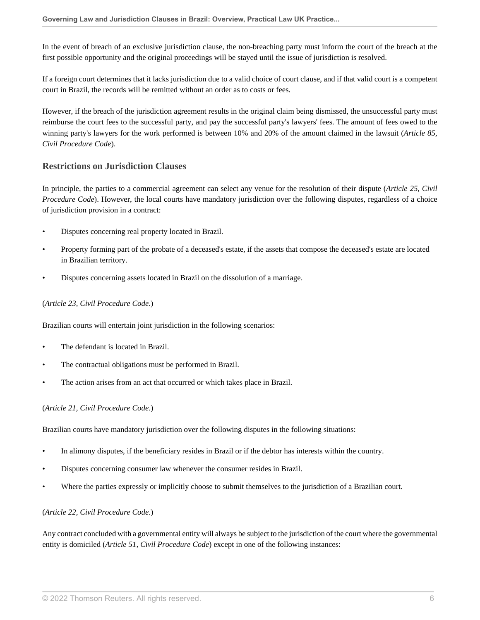In the event of breach of an exclusive jurisdiction clause, the non-breaching party must inform the court of the breach at the first possible opportunity and the original proceedings will be stayed until the issue of jurisdiction is resolved.

If a foreign court determines that it lacks jurisdiction due to a valid choice of court clause, and if that valid court is a competent court in Brazil, the records will be remitted without an order as to costs or fees.

However, if the breach of the jurisdiction agreement results in the original claim being dismissed, the unsuccessful party must reimburse the court fees to the successful party, and pay the successful party's lawyers' fees. The amount of fees owed to the winning party's lawyers for the work performed is between 10% and 20% of the amount claimed in the lawsuit (*Article 85, Civil Procedure Code*).

# <span id="page-5-0"></span>**Restrictions on Jurisdiction Clauses**

In principle, the parties to a commercial agreement can select any venue for the resolution of their dispute (*Article 25, Civil Procedure Code*). However, the local courts have mandatory jurisdiction over the following disputes, regardless of a choice of jurisdiction provision in a contract:

- Disputes concerning real property located in Brazil.
- Property forming part of the probate of a deceased's estate, if the assets that compose the deceased's estate are located in Brazilian territory.
- Disputes concerning assets located in Brazil on the dissolution of a marriage.

#### (*Article 23, Civil Procedure Code*.)

Brazilian courts will entertain joint jurisdiction in the following scenarios:

- The defendant is located in Brazil.
- The contractual obligations must be performed in Brazil.
- The action arises from an act that occurred or which takes place in Brazil.

#### (*Article 21, Civil Procedure Code*.)

Brazilian courts have mandatory jurisdiction over the following disputes in the following situations:

- In alimony disputes, if the beneficiary resides in Brazil or if the debtor has interests within the country.
- Disputes concerning consumer law whenever the consumer resides in Brazil.
- Where the parties expressly or implicitly choose to submit themselves to the jurisdiction of a Brazilian court.

#### (*Article 22, Civil Procedure Code*.)

Any contract concluded with a governmental entity will always be subject to the jurisdiction of the court where the governmental entity is domiciled (*Article 51, Civil Procedure Code*) except in one of the following instances: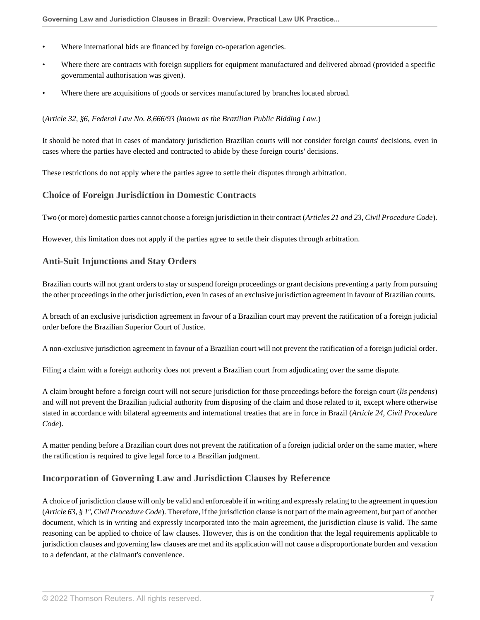- Where international bids are financed by foreign co-operation agencies.
- Where there are contracts with foreign suppliers for equipment manufactured and delivered abroad (provided a specific governmental authorisation was given).
- Where there are acquisitions of goods or services manufactured by branches located abroad.

#### (*Article 32, §6, Federal Law No. 8,666/93 (known as the Brazilian Public Bidding Law*.)

It should be noted that in cases of mandatory jurisdiction Brazilian courts will not consider foreign courts' decisions, even in cases where the parties have elected and contracted to abide by these foreign courts' decisions.

These restrictions do not apply where the parties agree to settle their disputes through arbitration.

#### **Choice of Foreign Jurisdiction in Domestic Contracts**

Two (or more) domestic parties cannot choose a foreign jurisdiction in their contract (*Articles 21 and 23, Civil Procedure Code*).

However, this limitation does not apply if the parties agree to settle their disputes through arbitration.

#### **Anti-Suit Injunctions and Stay Orders**

Brazilian courts will not grant orders to stay or suspend foreign proceedings or grant decisions preventing a party from pursuing the other proceedings in the other jurisdiction, even in cases of an exclusive jurisdiction agreement in favour of Brazilian courts.

A breach of an exclusive jurisdiction agreement in favour of a Brazilian court may prevent the ratification of a foreign judicial order before the Brazilian Superior Court of Justice.

A non-exclusive jurisdiction agreement in favour of a Brazilian court will not prevent the ratification of a foreign judicial order.

Filing a claim with a foreign authority does not prevent a Brazilian court from adjudicating over the same dispute.

A claim brought before a foreign court will not secure jurisdiction for those proceedings before the foreign court (*lis pendens*) and will not prevent the Brazilian judicial authority from disposing of the claim and those related to it, except where otherwise stated in accordance with bilateral agreements and international treaties that are in force in Brazil (*Article 24, Civil Procedure Code*).

A matter pending before a Brazilian court does not prevent the ratification of a foreign judicial order on the same matter, where the ratification is required to give legal force to a Brazilian judgment.

# **Incorporation of Governing Law and Jurisdiction Clauses by Reference**

A choice of jurisdiction clause will only be valid and enforceable if in writing and expressly relating to the agreement in question (*Article 63, § 1º, Civil Procedure Code*). Therefore, if the jurisdiction clause is not part of the main agreement, but part of another document, which is in writing and expressly incorporated into the main agreement, the jurisdiction clause is valid. The same reasoning can be applied to choice of law clauses. However, this is on the condition that the legal requirements applicable to jurisdiction clauses and governing law clauses are met and its application will not cause a disproportionate burden and vexation to a defendant, at the claimant's convenience.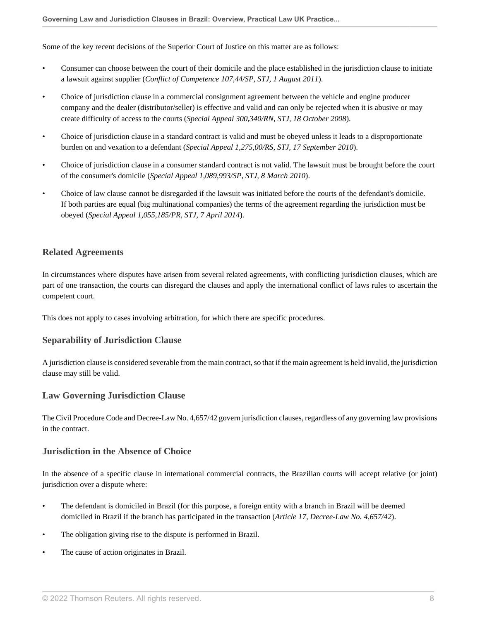Some of the key recent decisions of the Superior Court of Justice on this matter are as follows:

- Consumer can choose between the court of their domicile and the place established in the jurisdiction clause to initiate a lawsuit against supplier (*Conflict of Competence 107,44/SP, STJ, 1 August 2011*).
- Choice of jurisdiction clause in a commercial consignment agreement between the vehicle and engine producer company and the dealer (distributor/seller) is effective and valid and can only be rejected when it is abusive or may create difficulty of access to the courts (*Special Appeal 300,340/RN, STJ, 18 October 2008*).
- Choice of jurisdiction clause in a standard contract is valid and must be obeyed unless it leads to a disproportionate burden on and vexation to a defendant (*Special Appeal 1,275,00/RS, STJ, 17 September 2010*).
- Choice of jurisdiction clause in a consumer standard contract is not valid. The lawsuit must be brought before the court of the consumer's domicile (*Special Appeal 1,089,993/SP, STJ, 8 March 2010*).
- Choice of law clause cannot be disregarded if the lawsuit was initiated before the courts of the defendant's domicile. If both parties are equal (big multinational companies) the terms of the agreement regarding the jurisdiction must be obeyed (*Special Appeal 1,055,185/PR, STJ, 7 April 2014*).

# **Related Agreements**

In circumstances where disputes have arisen from several related agreements, with conflicting jurisdiction clauses, which are part of one transaction, the courts can disregard the clauses and apply the international conflict of laws rules to ascertain the competent court.

This does not apply to cases involving arbitration, for which there are specific procedures.

#### **Separability of Jurisdiction Clause**

A jurisdiction clause is considered severable from the main contract, so that if the main agreement is held invalid, the jurisdiction clause may still be valid.

#### **Law Governing Jurisdiction Clause**

The Civil Procedure Code and Decree-Law No. 4,657/42 govern jurisdiction clauses, regardless of any governing law provisions in the contract.

#### **Jurisdiction in the Absence of Choice**

In the absence of a specific clause in international commercial contracts, the Brazilian courts will accept relative (or joint) jurisdiction over a dispute where:

- The defendant is domiciled in Brazil (for this purpose, a foreign entity with a branch in Brazil will be deemed domiciled in Brazil if the branch has participated in the transaction (*Article 17, Decree-Law No. 4,657/42*).
- The obligation giving rise to the dispute is performed in Brazil.
- The cause of action originates in Brazil.